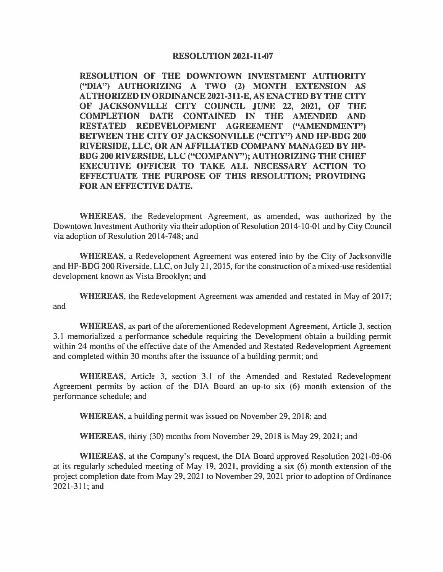## **RESOLUTION 2021-11-07**

**RESOLUTION OF THE DOWNTOWN INVESTMENT AUTHORITY ("DIA") AUTHORIZING A TWO (2) MONTH EXTENSION AS AUTHORIZED IN ORDINANCE 2021-311-E, AS ENACTED BY THE CITY OF JACKSONVILLE CITY COUNCIL JUNE 22, 2021, OF THE COMPLETION DATE CONTAINED IN THE AMENDED AND RESTATED REDEVELOPMENT AGREEMENT ("AMENDMENT'') BETWEEN THE CITY OF JACKSONVILLE ("CITY") AND HP-BDG 200 RIVERSIDE, LLC, OR AN AFFILIATED COMPANY MANAGED BY HP-BDG 200 RIVERSIDE, LLC ("COMPANY"); AUTHORIZING THE CHIEF EXECUTIVE OFFICER TO TAKE ALL NECESSARY ACTION TO EFFECTUATE THE PURPOSE OF THIS RESOLUTION; PROVIDING FOR AN EFFECTIVE DATE.** 

**WHEREAS,** the Redevelopment Agreement, as amended, was authorized by the Downtown Investment Authority via their adoption of Resolution 2014-10-01 and by City Council via adoption of Resolution 2014-748; and

**WHEREAS,** a Redevelopment Agreement was entered into by the City of Jacksonville and HP-BOG 200 Riverside, LLC, on July 21, 2015, for the construction of a mixed-use residential development known as Vista Brooklyn; and

**WHEREAS,** the Redevelopment Agreement was amended and restated in May of 2017; and

**WHEREAS,** as part of the aforementioned Redevelopment Agreement, Article 3, section 3.1 memorialized a performance schedule requiring the Development obtain a building permit within 24 months of the effective date of the Amended and Restated Redevelopment Agreement and completed within 30 months after the issuance of a building permit; and

**WHEREAS,** Article 3, section 3.1 of the Amended and Restated Redevelopment Agreement permits by action of the DIA Board an up-to six (6) month extension of the performance schedule; and

**WHEREAS,** a building permit was issued on November 29, 2018; and

**WHEREAS,** thirty (30) months from November 29, 2018 is May 29, 2021; and

**WHEREAS,** at the Company's request, the DIA Board approved Resolution 2021-05-06 at its regularly scheduled meeting of May 19, 2021, providing a six (6) month extension of the project completion date from May 29, 2021 to November 29, 2021 prior to adoption of Ordinance 2021-311; and